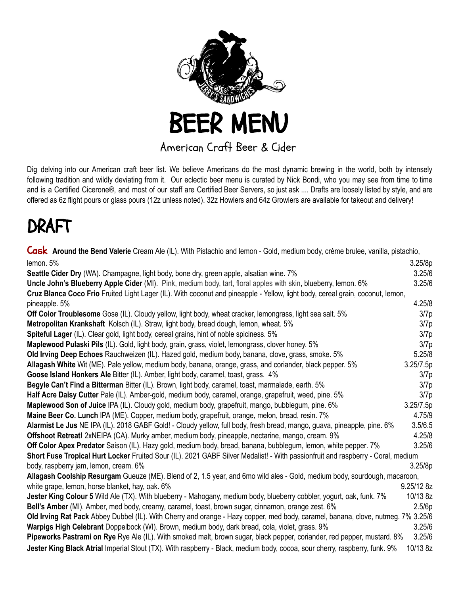

## American Craft Beer & Cider

Dig delving into our American craft beer list. We believe Americans do the most dynamic brewing in the world, both by intensely following tradition and wildly deviating from it. Our eclectic beer menu is curated by Nick Bondi, who you may see from time to time and is a Certified Cicerone®, and most of our staff are Certified Beer Servers, so just ask .... Drafts are loosely listed by style, and are offered as 6z flight pours or glass pours (12z unless noted). 32z Howlers and 64z Growlers are available for takeout and delivery!

## DRAFT

Cask **Around the Bend Valerie** Cream Ale (IL). With Pistachio and lemon - Gold, medium body, crème brulee, vanilla, pistachio, lemon. 5% 3.25/8p **Seattle Cider Dry** (WA). Champagne, light body, bone dry, green apple, alsatian wine. 7% 3.25/6 **Uncle John's Blueberry Apple Cider** (MI). Pink, medium body, tart, floral apples with skin, blueberry, lemon. 6% 3.25/6 **Cruz Blanca Coco Frio** Fruited Light Lager (IL). With coconut and pineapple - Yellow, light body, cereal grain, coconut, lemon, pineapple. 5% 4.25/8 **Off Color Troublesome** Gose (IL). Cloudy yellow, light body, wheat cracker, lemongrass, light sea salt. 5% 3/7p **Metropolitan Krankshaft** Kolsch (IL). Straw, light body, bread dough, lemon, wheat. 5% 3/7p **Spiteful Lager** (IL). Clear gold, light body, cereal grains, hint of noble spiciness. 5% 3/7p **Maplewood Pulaski Pils** (IL). Gold, light body, grain, grass, violet, lemongrass, clover honey. 5% 3/7p 3/7p **Old Irving Deep Echoes** Rauchweizen (IL). Hazed gold, medium body, banana, clove, grass, smoke. 5% 6.25/8 **Allagash White** Wit (ME). Pale yellow, medium body, banana, orange, grass, and coriander, black pepper. 5% 3.25/7.5p **Goose Island Honkers Ale** Bitter (IL). Amber, light body, caramel, toast, grass. 4% 3/7p **Begyle Can't Find a Bitterman** Bitter (IL). Brown, light body, caramel, toast, marmalade, earth. 5% **3/7p** 3/7p **Half Acre Daisy Cutter** Pale (IL). Amber-gold, medium body, caramel, orange, grapefruit, weed, pine. 5% 3/7p **Maplewood Son of Juice** IPA (IL). Cloudy gold, medium body, grapefruit, mango, bubblegum, pine. 6% 3.25/7.5p **Maine Beer Co. Lunch** IPA (ME). Copper, medium body, grapefruit, orange, melon, bread, resin. 7% 4.75/9 **Alarmist Le Jus** NE IPA (IL). 2018 GABF Gold! - Cloudy yellow, full body, fresh bread, mango, guava, pineapple, pine. 6% 3.5/6.5 **Offshoot Retreat!** 2xNEIPA (CA). Murky amber, medium body, pineapple, nectarine, mango, cream. 9% 4.25/8 **Off Color Apex Predator** Saison (IL). Hazy gold, medium body, bread, banana, bubblegum, lemon, white pepper. 7% 3.25/6 **Short Fuse Tropical Hurt Locker** Fruited Sour (IL). 2021 GABF Silver Medalist! - With passionfruit and raspberry - Coral, medium body, raspberry jam, lemon, cream. 6% 3.25/8p **Allagash Coolship Resurgam** Gueuze (ME). Blend of 2, 1.5 year, and 6mo wild ales - Gold, medium body, sourdough, macaroon, white grape, lemon, horse blanket, hay, oak. 6% 9.25/12 8z **Jester King Colour 5** Wild Ale (TX). With blueberry - Mahogany, medium body, blueberry cobbler, yogurt, oak, funk. 7% 10/13 8z **Bell's Amber** (MI). Amber, med body, creamy, caramel, toast, brown sugar, cinnamon, orange zest. 6% 2.5/6p **Old Irving Rat Pack** Abbey Dubbel (IL). With Cherry and orange - Hazy copper, med body, caramel, banana, clove, nutmeg. 7% 3.25/6 **Warpigs High Celebrant** Doppelbock (WI). Brown, medium body, dark bread, cola, violet, grass. 9% 3.25/6 **Pipeworks Pastrami on Rye** Rye Ale (IL). With smoked malt, brown sugar, black pepper, coriander, red pepper, mustard. 8% 3.25/6 **Jester King Black Atrial** Imperial Stout (TX). With raspberry - Black, medium body, cocoa, sour cherry, raspberry, funk. 9% 10/13 8z